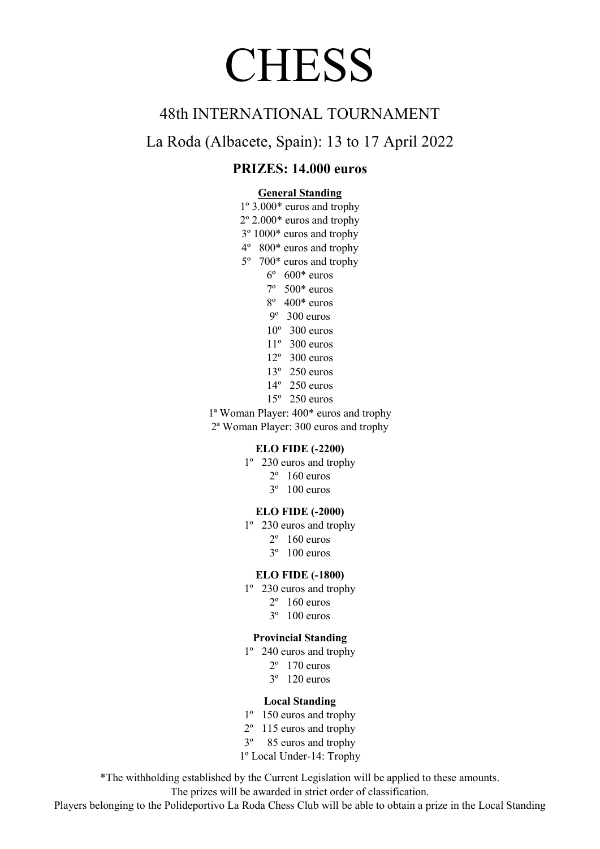# **CHESS**

## 48th INTERNATIONAL TOURNAMENT

La Roda (Albacete, Spain): 13 to 17 April 2022

## PRIZES: 14.000 euros

#### General Standing

- 1º 3.000\* euros and trophy
- 2º 2.000\* euros and trophy
- 3º 1000\* euros and trophy
- 4º 800\* euros and trophy
- 5º 700\* euros and trophy
	- $6^\circ$  600\* euros
	- 7º 500\* euros
	- 8º 400\* euros
	- 9º 300 euros
	- $10^{\circ}$  300 euros
	- 11º 300 euros
	- 12º 300 euros
	- 13º 250 euros
	- 14º 250 euros
	- 15º 250 euros
- 1ª Woman Player: 400\* euros and trophy 2ª Woman Player: 300 euros and trophy

#### ELO FIDE (-2200)

- 1º 230 euros and trophy
	- $2^{\circ}$  160 euros
	- 3º 100 euros

#### ELO FIDE (-2000)

- 1º 230 euros and trophy
	- $2^{\circ}$  160 euros
	- 3º 100 euros

#### ELO FIDE (-1800)

- 1º 230 euros and trophy
	- $2^{\circ}$  160 euros
	- 3º 100 euros

#### Provincial Standing

- 1º 240 euros and trophy
	- 2º 170 euros
		- 3º 120 euros
	- Local Standing
- 1º 150 euros and trophy
- 2º 115 euros and trophy
- 3º 85 euros and trophy
- 1º Local Under-14: Trophy

\*The withholding established by the Current Legislation will be applied to these amounts.

The prizes will be awarded in strict order of classification.

Players belonging to the Polideportivo La Roda Chess Club will be able to obtain a prize in the Local Standing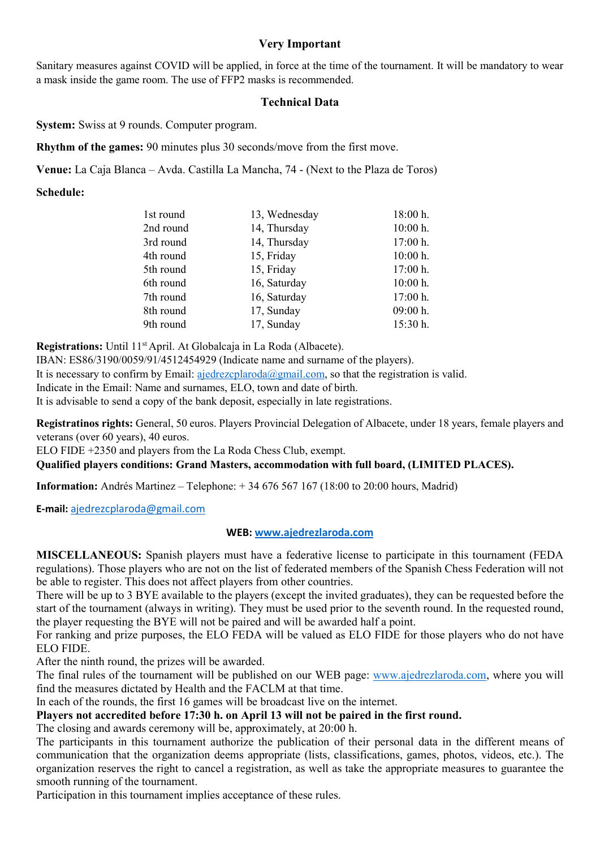#### Very Important

Sanitary measures against COVID will be applied, in force at the time of the tournament. It will be mandatory to wear a mask inside the game room. The use of FFP2 masks is recommended.

#### Technical Data

System: Swiss at 9 rounds. Computer program.

Rhythm of the games: 90 minutes plus 30 seconds/move from the first move.

Venue: La Caja Blanca – Avda. Castilla La Mancha, 74 - (Next to the Plaza de Toros)

Schedule:

| 1st round | 13, Wednesday | 18:00 h.   |
|-----------|---------------|------------|
| 2nd round | 14, Thursday  | 10:00 h.   |
| 3rd round | 14, Thursday  | 17:00 h.   |
| 4th round | 15, Friday    | 10:00 h.   |
| 5th round | 15, Friday    | 17:00 h.   |
| 6th round | 16, Saturday  | $10:00$ h. |
| 7th round | 16, Saturday  | 17:00 h.   |
| 8th round | 17, Sunday    | 09:00 h.   |
| 9th round | 17, Sunday    | 15:30 h.   |

Registrations: Until 11<sup>st</sup> April. At Globalcaja in La Roda (Albacete).

IBAN: ES86/3190/0059/91/4512454929 (Indicate name and surname of the players).

It is necessary to confirm by Email: ajedrezcplaroda@gmail.com, so that the registration is valid.

Indicate in the Email: Name and surnames, ELO, town and date of birth.

It is advisable to send a copy of the bank deposit, especially in late registrations.

Registratinos rights: General, 50 euros. Players Provincial Delegation of Albacete, under 18 years, female players and veterans (over 60 years), 40 euros.

ELO FIDE +2350 and players from the La Roda Chess Club, exempt.

#### Qualified players conditions: Grand Masters, accommodation with full board, (LIMITED PLACES).

Information: Andrés Martinez – Telephone: + 34 676 567 167 (18:00 to 20:00 hours, Madrid)

E-mail: ajedrezcplaroda@gmail.com

#### WEB: www.ajedrezlaroda.com

MISCELLANEOUS: Spanish players must have a federative license to participate in this tournament (FEDA regulations). Those players who are not on the list of federated members of the Spanish Chess Federation will not be able to register. This does not affect players from other countries.

There will be up to 3 BYE available to the players (except the invited graduates), they can be requested before the start of the tournament (always in writing). They must be used prior to the seventh round. In the requested round, the player requesting the BYE will not be paired and will be awarded half a point.

For ranking and prize purposes, the ELO FEDA will be valued as ELO FIDE for those players who do not have ELO FIDE.

After the ninth round, the prizes will be awarded.

The final rules of the tournament will be published on our WEB page: www.ajedrezlaroda.com, where you will find the measures dictated by Health and the FACLM at that time.

In each of the rounds, the first 16 games will be broadcast live on the internet.

#### Players not accredited before 17:30 h. on April 13 will not be paired in the first round.

The closing and awards ceremony will be, approximately, at 20:00 h.

The participants in this tournament authorize the publication of their personal data in the different means of communication that the organization deems appropriate (lists, classifications, games, photos, videos, etc.). The organization reserves the right to cancel a registration, as well as take the appropriate measures to guarantee the smooth running of the tournament.

Participation in this tournament implies acceptance of these rules.